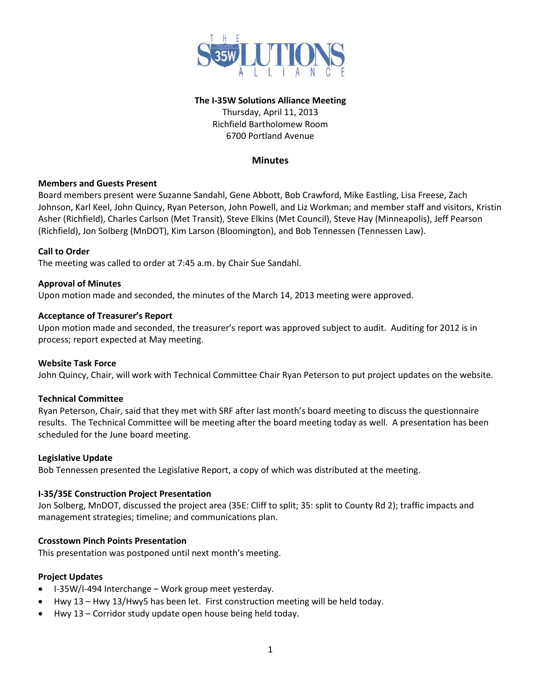

## **The I-35W Solutions Alliance Meeting**

Thursday, April 11, 2013 Richfield Bartholomew Room 6700 Portland Avenue

# **Minutes**

## **Members and Guests Present**

Board members present were Suzanne Sandahl, Gene Abbott, Bob Crawford, Mike Eastling, Lisa Freese, Zach Johnson, Karl Keel, John Quincy, Ryan Peterson, John Powell, and Liz Workman; and member staff and visitors, Kristin Asher (Richfield), Charles Carlson (Met Transit), Steve Elkins (Met Council), Steve Hay (Minneapolis), Jeff Pearson (Richfield), Jon Solberg (MnDOT), Kim Larson (Bloomington), and Bob Tennessen (Tennessen Law).

## **Call to Order**

The meeting was called to order at 7:45 a.m. by Chair Sue Sandahl.

## **Approval of Minutes**

Upon motion made and seconded, the minutes of the March 14, 2013 meeting were approved.

## **Acceptance of Treasurer's Report**

Upon motion made and seconded, the treasurer's report was approved subject to audit. Auditing for 2012 is in process; report expected at May meeting.

#### **Website Task Force**

John Quincy, Chair, will work with Technical Committee Chair Ryan Peterson to put project updates on the website.

## **Technical Committee**

Ryan Peterson, Chair, said that they met with SRF after last month's board meeting to discuss the questionnaire results. The Technical Committee will be meeting after the board meeting today as well. A presentation has been scheduled for the June board meeting.

#### **Legislative Update**

Bob Tennessen presented the Legislative Report, a copy of which was distributed at the meeting.

#### **I-35/35E Construction Project Presentation**

Jon Solberg, MnDOT, discussed the project area (35E: Cliff to split; 35: split to County Rd 2); traffic impacts and management strategies; timeline; and communications plan.

## **Crosstown Pinch Points Presentation**

This presentation was postponed until next month's meeting.

## **Project Updates**

- I-35W/I-494 Interchange Work group meet yesterday.
- Hwy 13 Hwy 13/Hwy5 has been let. First construction meeting will be held today.
- Hwy 13 Corridor study update open house being held today.